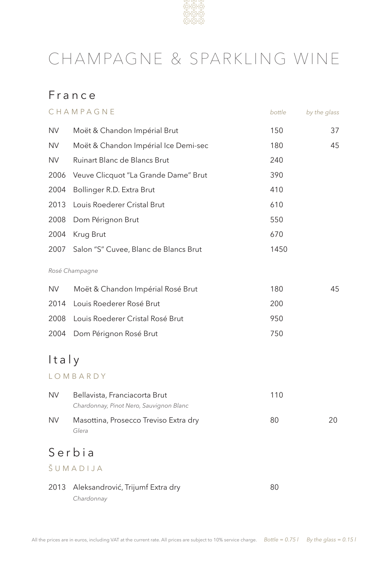

## CHAMPAGNE & SPARKLING WINE

## France

|           | CHAMPAGNE                                                                | bottle | by the glass |
|-----------|--------------------------------------------------------------------------|--------|--------------|
| <b>NV</b> | Moët & Chandon Impérial Brut                                             | 150    | 37           |
| <b>NV</b> | Moët & Chandon Impérial Ice Demi-sec                                     | 180    | 45           |
| <b>NV</b> | Ruinart Blanc de Blancs Brut                                             | 240    |              |
| 2006      | Veuve Clicquot "La Grande Dame" Brut                                     | 390    |              |
| 2004      | Bollinger R.D. Extra Brut                                                | 410    |              |
| 2013      | Louis Roederer Cristal Brut                                              | 610    |              |
| 2008      | Dom Pérignon Brut                                                        | 550    |              |
| 2004      | Krug Brut                                                                | 670    |              |
| 2007      | Salon "S" Cuvee, Blanc de Blancs Brut                                    | 1450   |              |
|           | Rosé Champagne                                                           |        |              |
| <b>NV</b> | Moët & Chandon Impérial Rosé Brut                                        | 180    | 45           |
| 2014      | Louis Roederer Rosé Brut                                                 | 200    |              |
| 2008      | Louis Roederer Cristal Rosé Brut                                         | 950    |              |
| 2004      | Dom Pérignon Rosé Brut                                                   | 750    |              |
| Italy     |                                                                          |        |              |
|           | LOMBARDY                                                                 |        |              |
| <b>NV</b> | Bellavista, Franciacorta Brut<br>Chardonnay, Pinot Nero, Sauvignon Blanc | 110    |              |
| <b>NV</b> | Masottina, Prosecco Treviso Extra dry<br>Glera                           | 80     | 20           |
|           | Serbia                                                                   |        |              |
|           | ŠUMADIJA                                                                 |        |              |
|           | 2013 Aleksandrović, Trijumf Extra dry                                    | 80     |              |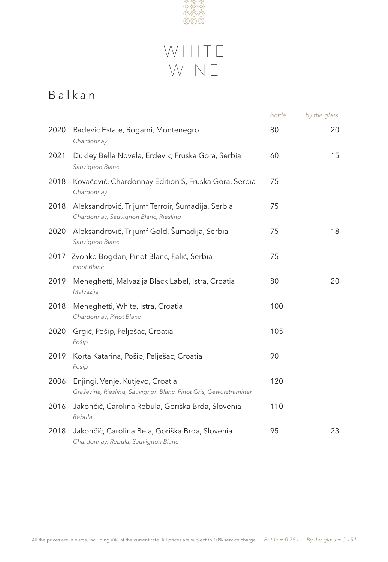

## WHITE WINE

## Balkan

|      |                                                                                                      | bottle | by the glass |
|------|------------------------------------------------------------------------------------------------------|--------|--------------|
| 2020 | Radevic Estate, Rogami, Montenegro<br>Chardonnay                                                     | 80     | 20           |
| 2021 | Dukley Bella Novela, Erdevik, Fruska Gora, Serbia<br>Sauvignon Blanc                                 | 60     | 15           |
| 2018 | Kovačević, Chardonnay Edition S, Fruska Gora, Serbia<br>Chardonnay                                   | 75     |              |
| 2018 | Aleksandrović, Trijumf Terroir, Šumadija, Serbia<br>Chardonnay, Sauvignon Blanc, Riesling            | 75     |              |
| 2020 | Aleksandrović, Trijumf Gold, Šumadija, Serbia<br>Sauvignon Blanc                                     | 75     | 18           |
| 2017 | Zvonko Bogdan, Pinot Blanc, Palić, Serbia<br>Pinot Blanc                                             | 75     |              |
| 2019 | Meneghetti, Malvazija Black Label, Istra, Croatia<br>Malvazija                                       | 80     | 20           |
| 2018 | Meneghetti, White, Istra, Croatia<br>Chardonnay, Pinot Blanc                                         | 100    |              |
| 2020 | Grgić, Pošip, Pelješac, Croatia<br>Pošip                                                             | 105    |              |
| 2019 | Korta Katarina, Pošip, Pelješac, Croatia<br>Pošip                                                    | 90     |              |
| 2006 | Enjingi, Venje, Kutjevo, Croatia<br>Graševina, Riesling, Sauvignon Blanc, Pinot Gris, Gewürztraminer | 120    |              |
| 2016 | Jakončič, Carolina Rebula, Goriška Brda, Slovenia<br>Rebula                                          | 110    |              |
| 2018 | Jakončič, Carolina Bela, Goriška Brda, Slovenia<br>Chardonnay, Rebula, Sauvignon Blanc               | 95     | 23           |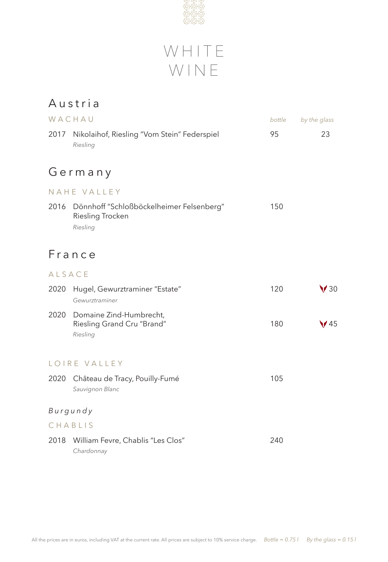



### Austria

|        | WACHAU                                                                          | bottle | by the glass |  |  |
|--------|---------------------------------------------------------------------------------|--------|--------------|--|--|
| 2017   | Nikolaihof, Riesling "Vom Stein" Federspiel<br>Riesling                         | 95     | 23           |  |  |
|        | Germany                                                                         |        |              |  |  |
|        | NAHE VALLEY                                                                     |        |              |  |  |
| 2016   | Dönnhoff "Schloßböckelheimer Felsenberg"<br><b>Riesling Trocken</b><br>Riesling | 150    |              |  |  |
|        | France                                                                          |        |              |  |  |
| ALSACE |                                                                                 |        |              |  |  |
| 2020   | Hugel, Gewurztraminer "Estate"<br>Gewurztraminer                                | 120    | $\sqrt{30}$  |  |  |
| 2020   | Domaine Zind-Humbrecht,<br>Riesling Grand Cru "Brand"<br>Riesling               | 180    | $\sqrt{45}$  |  |  |
|        | LOIRE VALLEY                                                                    |        |              |  |  |
| 2020   | Château de Tracy, Pouilly-Fumé<br>Sauvignon Blanc                               | 105    |              |  |  |
|        | Burgundy                                                                        |        |              |  |  |
|        | CHABLIS                                                                         |        |              |  |  |
| 2018   | William Fevre, Chablis "Les Clos"<br>Chardonnay                                 | 240    |              |  |  |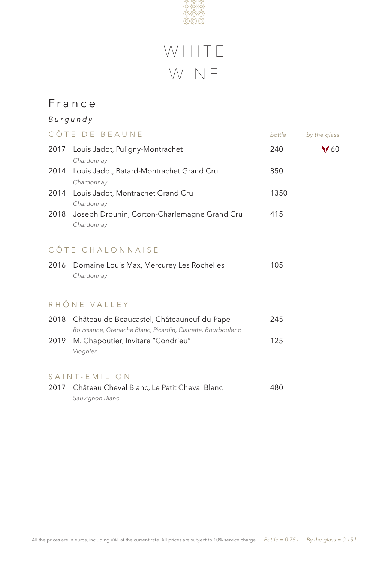

# WHITE WINE

### France

|                                          | Burgundy                                                                                                  |      |             |  |  |
|------------------------------------------|-----------------------------------------------------------------------------------------------------------|------|-------------|--|--|
| CÔTE DE BEAUNE<br>bottle<br>by the glass |                                                                                                           |      |             |  |  |
| 2017                                     | Louis Jadot, Puligny-Montrachet<br>Chardonnay                                                             | 240  | $\sqrt{60}$ |  |  |
| 2014                                     | Louis Jadot, Batard-Montrachet Grand Cru<br>Chardonnay                                                    | 850  |             |  |  |
|                                          | 2014 Louis Jadot, Montrachet Grand Cru<br>Chardonnay                                                      | 1350 |             |  |  |
| 2018                                     | Joseph Drouhin, Corton-Charlemagne Grand Cru<br>Chardonnay                                                | 415  |             |  |  |
|                                          | CÔTE CHALONNAISE                                                                                          |      |             |  |  |
| 2016                                     | Domaine Louis Max, Mercurey Les Rochelles<br>Chardonnay                                                   | 105  |             |  |  |
|                                          | RHÔNE VALLEY                                                                                              |      |             |  |  |
| 2018                                     | Château de Beaucastel, Châteauneuf-du-Pape<br>Roussanne, Grenache Blanc, Picardin, Clairette, Bourboulenc | 245  |             |  |  |
| 2019                                     | M. Chapoutier, Invitare "Condrieu"<br>Viognier                                                            | 125  |             |  |  |
|                                          | SAINT-EMILION                                                                                             |      |             |  |  |
|                                          | 2017 Château Cheval Blanc, Le Petit Cheval Blanc<br>Sauvignon Blanc                                       | 480  |             |  |  |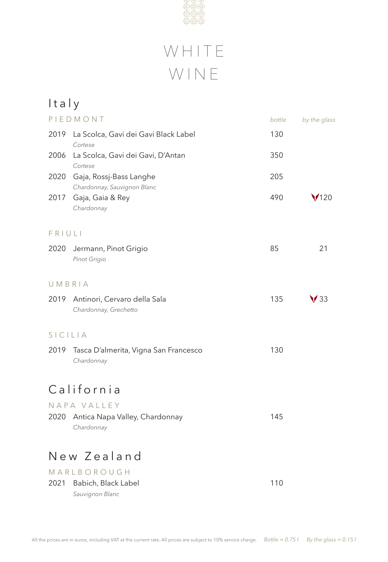

# WHITE WINE

| Italy   |                                                        |        |              |
|---------|--------------------------------------------------------|--------|--------------|
|         | PIEDMONT                                               | bottle | by the glass |
| 2019    | La Scolca, Gavi dei Gavi Black Label<br>Cortese        | 130    |              |
| 2006    | La Scolca, Gavi dei Gavi, D'Antan<br>Cortese           | 350    |              |
| 2020    | Gaja, Rossj-Bass Langhe<br>Chardonnay, Sauvignon Blanc | 205    |              |
| 2017    | Gaja, Gaia & Rey<br>Chardonnay                         | 490    | 120          |
| FRIULI  |                                                        |        |              |
| 2020    | Jermann, Pinot Grigio<br>Pinot Grigio                  | 85     | 21           |
|         | UMBRIA                                                 |        |              |
| 2019    | Antinori, Cervaro della Sala<br>Chardonnay, Grechetto  | 135    |              |
| SICILIA |                                                        |        |              |
| 2019    | Tasca D'almerita, Vigna San Francesco<br>Chardonnay    | 130    |              |
|         | California                                             |        |              |
|         | NAPA VALLEY                                            |        |              |
| 2020    | Antica Napa Valley, Chardonnay<br>Chardonnay           | 145    |              |
|         | New Zealand                                            |        |              |
|         | MARLBOROUGH                                            |        |              |
| 2021    | Babich, Black Label<br>Sauvignon Blanc                 | 110    |              |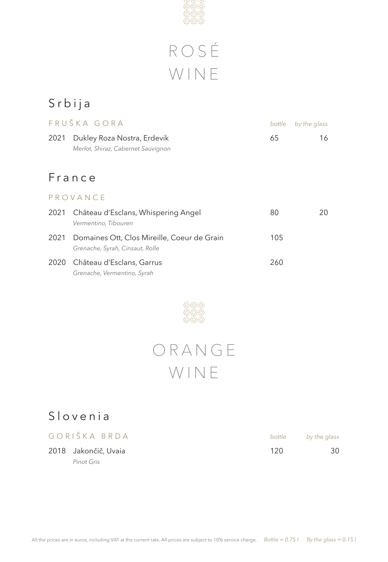

# ROSÉ WINE

## Srbija

|      | FRUŠKA GORA                                                                    | bottle | by the glass |
|------|--------------------------------------------------------------------------------|--------|--------------|
| 2021 | Dukley Roza Nostra, Erdevik<br>Merlot, Shiraz, Cabernet Sauvignon              | 65     | 16           |
|      | France                                                                         |        |              |
|      | PROVANCE                                                                       |        |              |
| 2021 | Château d'Esclans, Whispering Angel<br>Vermentino, Tibouren                    | 80     | 20           |
| 2021 | Domaines Ott, Clos Mireille, Coeur de Grain<br>Grenache, Syrah, Cinsaut, Rolle | 105    |              |
| 2020 | Château d'Esclans, Garrus<br>Grenache, Vermentino, Syrah                       | 260    |              |



## O R A N G E WINE

## Slovenia

| GORIŠKA BRDA         |     | bottle by the glass |
|----------------------|-----|---------------------|
| 2018 Jakončič, Uvaia | 120 | 30                  |
| Pinot Gris           |     |                     |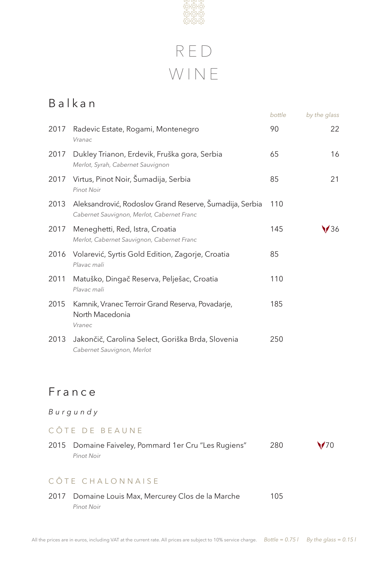

| Balkan |                                                                                                       |        |              |
|--------|-------------------------------------------------------------------------------------------------------|--------|--------------|
|        |                                                                                                       | bottle | by the glass |
| 2017   | Radevic Estate, Rogami, Montenegro<br>Vranac                                                          | 90     | 22           |
| 2017   | Dukley Trianon, Erdevik, Fruška gora, Serbia<br>Merlot, Syrah, Cabernet Sauvignon                     | 65     | 16           |
| 2017   | Virtus, Pinot Noir, Šumadija, Serbia<br><b>Pinot Noir</b>                                             | 85     | 21           |
| 2013   | Aleksandrović, Rodoslov Grand Reserve, Šumadija, Serbia<br>Cabernet Sauvignon, Merlot, Cabernet Franc | 110    |              |
| 2017   | Meneghetti, Red, Istra, Croatia<br>Merlot, Cabernet Sauvignon, Cabernet Franc                         | 145    | 36           |
| 2016   | Volarević, Syrtis Gold Edition, Zagorje, Croatia<br>Playac mali                                       | 85     |              |
| 2011   | Matuško, Dingač Reserva, Pelješac, Croatia<br>Plavac mali                                             | 110    |              |
| 2015   | Kamnik, Vranec Terroir Grand Reserva, Povadarje,<br>North Macedonia<br>Vranec                         | 185    |              |
| 2013   | Jakončič, Carolina Select, Goriška Brda, Slovenia<br>Cabernet Sauvignon, Merlot                       | 250    |              |

## France

### *Burgundy*

### CÔTE DE BEAUNE

| 2015 Domaine Faiveley, Pommard 1er Cru "Les Rugiens" | 280 | $\sqrt{70}$ |
|------------------------------------------------------|-----|-------------|
| Pinot Noir                                           |     |             |

### CÔTE CHALONNAISE

| 2017 Domaine Louis Max, Mercurey Clos de la Marche | 105 |
|----------------------------------------------------|-----|
| Pinot Noir                                         |     |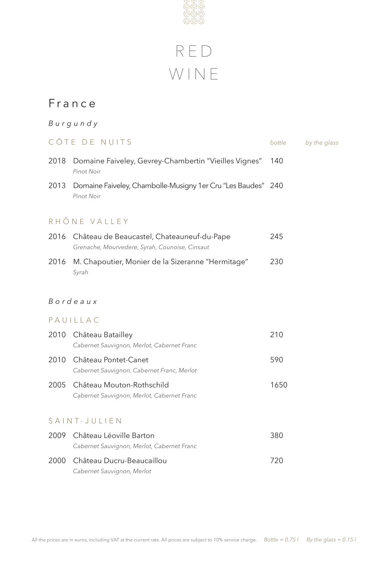

## France

### *Burgundy*

### CÔ T E D E N U I T S *bottle by the glass*

|      | 2018 Domaine Faiveley, Gevrey-Chambertin "Vieilles Vignes"<br>Pinot Noir                          | -140 |
|------|---------------------------------------------------------------------------------------------------|------|
|      | 2013 Domaine Faiveley, Chambolle-Musigny 1er Cru "Les Baudes" 240<br>Pinot Noir                   |      |
|      | RHÔNE VALLEY                                                                                      |      |
|      | 2016 Château de Beaucastel, Chateauneuf-du-Pape<br>Grenache, Mourvedere, Syrah, Counoise, Cinsaut | 245  |
| 2016 | M. Chapoutier, Monier de la Sizeranne "Hermitage"<br>Syrah                                        | 230  |

#### *B o r d e a u x*

#### PAUILLAC

|      | 2010 Château Batailley<br>Cabernet Sauvignon, Merlot, Cabernet Franc         | 210  |
|------|------------------------------------------------------------------------------|------|
| 2010 | Château Pontet-Canet<br>Cabernet Sauvignon, Cabernet Franc, Merlot           | 590  |
|      | 2005 Château Mouton-Rothschild<br>Cabernet Sauvignon, Merlot, Cabernet Franc | 1650 |
|      | SAINT-JULIEN                                                                 |      |
| 2009 | Château Léoville Barton<br>Cabernet Sauvignon, Merlot, Cabernet Franc        | 380  |
| 2000 | Château Ducru-Beaucaillou                                                    |      |

*Cabernet Sauvignon, Merlot*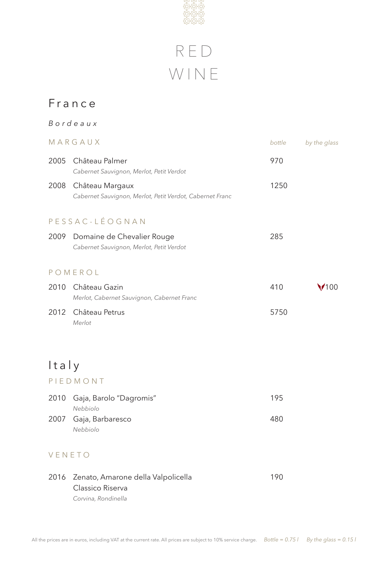

### France

## *Bordeaux*  MARGAUX *bottle by the glass* 2005 Château Palmer 970 *Cabernet Sauvignon, Merlot, Petit Verdot* 2008 Château Margaux 1250 *Cabernet Sauvignon, Merlot, Petit Verdot, Cabernet Franc* P E S S A C - L É O G N A N 2009 Domaine de Chevalier Rouge 2009 285 *Cabernet Sauvignon, Merlot, Petit Verdot* P O M E R O L 2010 Château Gazin 1980 - 1000 1100 1201 1202 1203 1204 1205 1206 1207 1208 1209 1209 1209 1209 1209 1209 120 *Merlot, Cabernet Sauvignon, Cabernet Franc* 2012 Château Petrus 5750 *Merlot*

## Italy

#### PIEDMONT

| 2010 Gaja, Barolo "Dagromis" | 195 |
|------------------------------|-----|
| Nebbiolo                     |     |
| 2007 Gaja, Barbaresco        | 480 |
| Nebbiolo                     |     |

### VENETO

|  | 2016 Zenato, Amarone della Valpolicella | 190 |
|--|-----------------------------------------|-----|
|  | Classico Riserva                        |     |
|  | Corvina, Rondinella                     |     |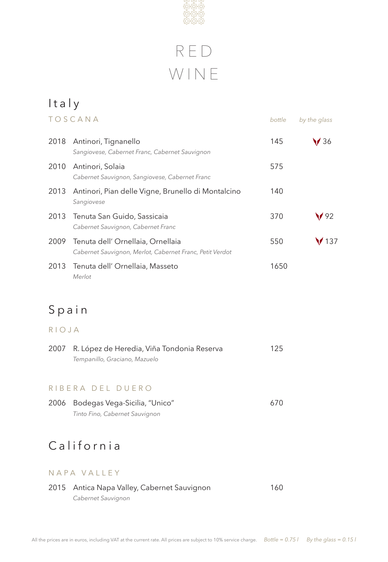

### Italy TOSCANA *bottle by the glass* 2018 Antinori, Tignanello 145  $\sqrt{36}$ *Sangiovese, Cabernet Franc, Cabernet Sauvignon* 2010 Antinori, Solaia 675 *Cabernet Sauvignon, Sangiovese, Cabernet Franc* 2013 Antinori, Pian delle Vigne, Brunello di Montalcino 140 *Sangiovese* 2013 Tenuta San Guido, Sassicaia 370  $\sqrt{92}$ *Cabernet Sauvignon, Cabernet Franc* 2009 Tenuta dell' Ornellaia, Ornellaia 1988 137 *Cabernet Sauvignon, Merlot, Cabernet Franc, Petit Verdot* 2013 Tenuta dell' Ornellaia, Masseto 1650 *Merlot*

## Spain

RIOJA

| 2007 R. López de Heredia, Viña Tondonia Reserva | 125 |
|-------------------------------------------------|-----|
| Tempanillo, Graciano, Mazuelo                   |     |
|                                                 |     |

#### RIBERA DEL DUERO

| 2006 Bodegas Vega-Sicilia, "Unico" | 670 |
|------------------------------------|-----|
| Tinto Fino, Cabernet Sauvignon     |     |

## California

#### N A P A V A L L E Y

#### 2015 Antica Napa Valley, Cabernet Sauvignon 160 *Cabernet Sauvignon*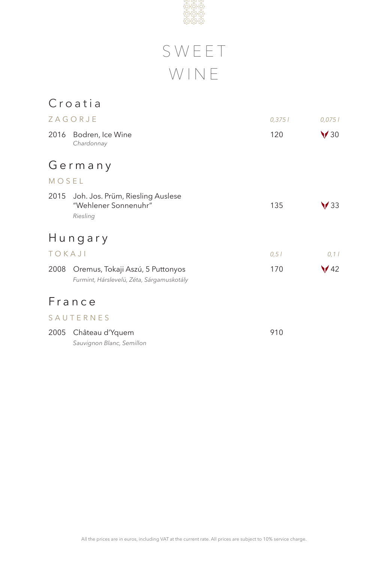

# S W E E T WINE

## Croatia

|        | ZAGORJE                                                                       | 0,3751 | 0,0751         |
|--------|-------------------------------------------------------------------------------|--------|----------------|
| 2016   | Bodren, Ice Wine<br>Chardonnay                                                | 120    | $\sqrt{30}$    |
|        | Germany                                                                       |        |                |
| MOSEL  |                                                                               |        |                |
| 2015   | Joh. Jos. Prüm, Riesling Auslese<br>"Wehlener Sonnenuhr"<br>Riesling          | 135    | $\prime$ 33    |
|        | Hungary                                                                       |        |                |
| TOKAJI |                                                                               | 0,51   | 0, 11          |
| 2008   | Oremus, Tokaji Aszú, 5 Puttonyos<br>Furmint, Hárslevelü, Zéta, Sárgamuskotály | 170    | $\frac{42}{ }$ |
|        | France                                                                        |        |                |
|        | SAUTERNES                                                                     |        |                |
| 2005   | Château d'Yquem<br>Sauvignon Blanc, Semillon                                  | 910    |                |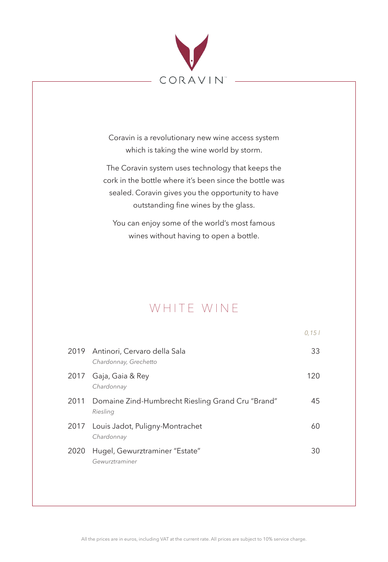

Coravin is a revolutionary new wine access system which is taking the wine world by storm.

The Coravin system uses technology that keeps the cork in the bottle where it's been since the bottle was sealed. Coravin gives you the opportunity to have outstanding fine wines by the glass.

You can enjoy some of the world's most famous wines without having to open a bottle.

## WHITE WINE

|      |                                                                    | 0.151 |
|------|--------------------------------------------------------------------|-------|
|      | 2019 Antinori, Cervaro della Sala<br>Chardonnay, Grechetto         | 33    |
| 2017 | Gaja, Gaia & Rey<br>Chardonnay                                     | 120   |
|      | 2011 Domaine Zind-Humbrecht Riesling Grand Cru "Brand"<br>Riesling | 45    |
| 2017 | Louis Jadot, Puligny-Montrachet<br>Chardonnay                      | 60    |
| 2020 | Hugel, Gewurztraminer "Estate"<br>Gewurztraminer                   | 30    |